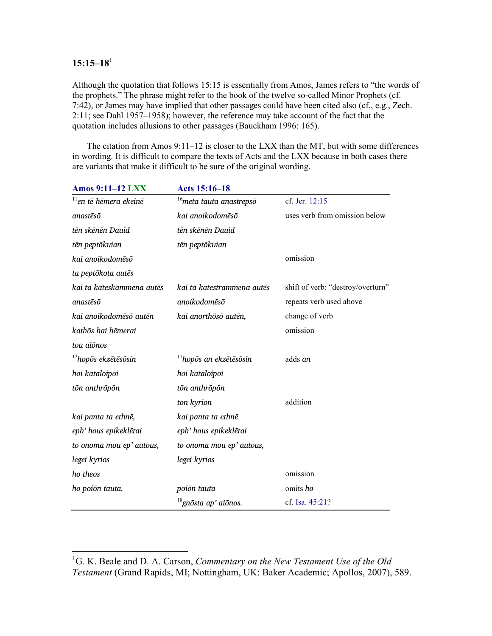## **15:15–18**<sup>1</sup>

 $\overline{a}$ 

Although the quotation that follows 15:15 is essentially from Amos, James refers to "the words of the prophets." The phrase might refer to the book of the twelve so-called Minor Prophets (cf. 7:42), or James may have implied that other passages could have been cited also (cf., e.g., Zech. 2:11; see Dahl 1957–1958); however, the reference may take account of the fact that the quotation includes allusions to other passages (Bauckham 1996: 165).

The citation from Amos 9:11–12 is closer to the LXX than the MT, but with some differences in wording. It is difficult to compare the texts of Acts and the LXX because in both cases there are variants that make it difficult to be sure of the original wording.

| <b>Amos 9:11-12 LXX</b>     | Acts 15:16-18                       |                                   |
|-----------------------------|-------------------------------------|-----------------------------------|
| $^{11}$ en tē hēmera ekeinē | $16$ meta tauta anastreps $\bar{o}$ | cf. Jer. 12:15                    |
| anastēsō                    | kai anoikodomēsō                    | uses verb from omission below     |
| tēn skēnēn Dauid            | tēn skēnēn Dauid                    |                                   |
| tēn peptōkuian              | tēn peptōkuian                      |                                   |
| kai anoikodomēsō            |                                     | omission                          |
| ta peptōkota autēs          |                                     |                                   |
| kai ta kateskammena autēs   | kai ta katestrammena autēs          | shift of verb: "destroy/overturn" |
| anastēsō                    | anoikodomēsō                        | repeats verb used above           |
| kai anoikodomēsō autēn      | kai anorthōsō autēn,                | change of verb                    |
| kathōs hai hēmerai          |                                     | omission                          |
| tou aiōnos                  |                                     |                                   |
| $12$ hopōs ekzētēsōsin      | $^{17}$ hopōs an ekzētēsōsin        | adds an                           |
| hoi kataloipoi              | hoi kataloipoi                      |                                   |
| tōn anthrōpōn               | tōn anthrōpōn                       |                                   |
|                             | ton kyrion                          | addition                          |
| kai panta ta ethnē,         | kai panta ta ethnē                  |                                   |
| eph' hous epikeklētai       | eph' hous epikeklētai               |                                   |
| to onoma mou ep' autous,    | to onoma mou ep' autous,            |                                   |
| legei kyrios                | legei kyrios                        |                                   |
| ho theos                    |                                     | omission                          |
| ho poiōn tauta.             | poiōn tauta                         | omits ho                          |
|                             | $^{18}$ gnōsta ap' aiōnos.          | cf. Isa. 45:21?                   |

 ${}^{1}$ G. K. Beale and D. A. Carson, *Commentary on the New Testament Use of the Old Testament* (Grand Rapids, MI; Nottingham, UK: Baker Academic; Apollos, 2007), 589.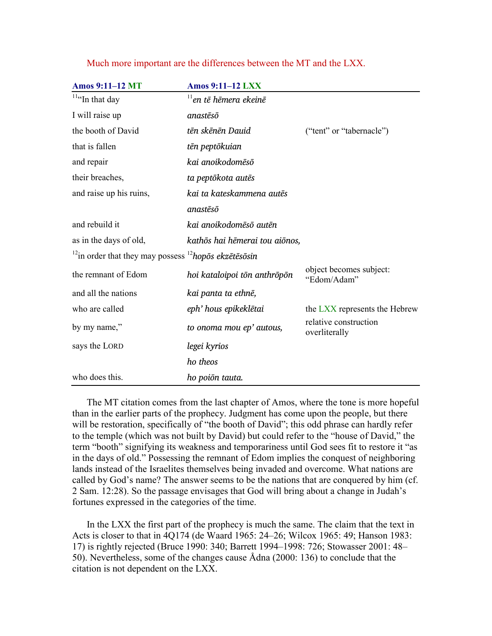| <b>Amos 9:11-12 MT</b>                                                       | <b>Amos 9:11-12 LXX</b>        |                                        |
|------------------------------------------------------------------------------|--------------------------------|----------------------------------------|
| <sup>11</sup> "In that day                                                   | $^{11}$ en tē hēmera ekeinē    |                                        |
| I will raise up                                                              | anastēsō                       |                                        |
| the booth of David                                                           | tēn skēnēn Dauid               | ("tent" or "tabernacle")               |
| that is fallen                                                               | tēn peptōkuian                 |                                        |
| and repair                                                                   | kai anoikodomēsō               |                                        |
| their breaches,                                                              | ta peptōkota autēs             |                                        |
| and raise up his ruins,                                                      | kai ta kateskammena autēs      |                                        |
|                                                                              | anastēsō                       |                                        |
| and rebuild it                                                               | kai anoikodomēsō autēn         |                                        |
| as in the days of old,                                                       | kathōs hai hēmerai tou aiōnos, |                                        |
| <sup>12</sup> in order that they may possess <sup>12</sup> hopos ekzetesosin |                                |                                        |
| the remnant of Edom                                                          | hoi kataloipoi tōn anthrōpōn   | object becomes subject:<br>"Edom/Adam" |
| and all the nations                                                          | kai panta ta ethnē,            |                                        |
| who are called                                                               | eph' hous epikeklētai          | the LXX represents the Hebrew          |
| by my name,"                                                                 | to onoma mou ep' autous,       | relative construction<br>overliterally |
| says the LORD                                                                | legei kyrios                   |                                        |
|                                                                              | ho theos                       |                                        |
| who does this.                                                               | ho poiōn tauta.                |                                        |

## Much more important are the differences between the MT and the LXX.

The MT citation comes from the last chapter of Amos, where the tone is more hopeful than in the earlier parts of the prophecy. Judgment has come upon the people, but there will be restoration, specifically of "the booth of David"; this odd phrase can hardly refer to the temple (which was not built by David) but could refer to the "house of David," the term "booth" signifying its weakness and temporariness until God sees fit to restore it "as in the days of old." Possessing the remnant of Edom implies the conquest of neighboring lands instead of the Israelites themselves being invaded and overcome. What nations are called by God's name? The answer seems to be the nations that are conquered by him (cf. 2 Sam. 12:28). So the passage envisages that God will bring about a change in Judah's fortunes expressed in the categories of the time.

In the LXX the first part of the prophecy is much the same. The claim that the text in Acts is closer to that in 4Q174 (de Waard 1965: 24–26; Wilcox 1965: 49; Hanson 1983: 17) is rightly rejected (Bruce 1990: 340; Barrett 1994–1998: 726; Stowasser 2001: 48– 50). Nevertheless, some of the changes cause Ådna (2000: 136) to conclude that the citation is not dependent on the LXX.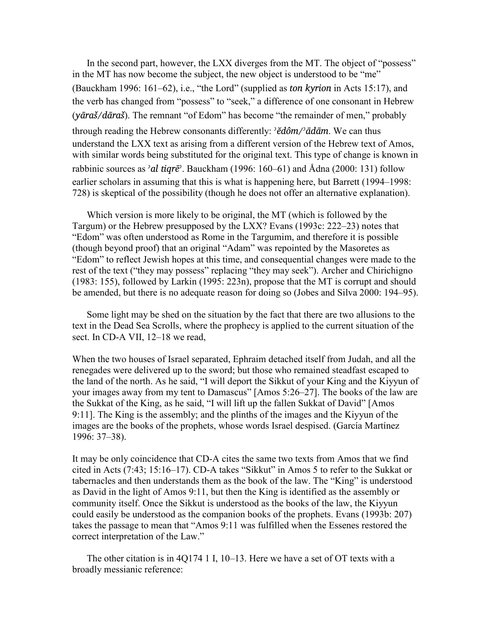In the second part, however, the LXX diverges from the MT. The object of "possess" in the MT has now become the subject, the new object is understood to be "me" (Bauckham 1996: 161–62), i.e., "the Lord" (supplied as *ton kyrion* in Acts 15:17), and the verb has changed from "possess" to "seek," a difference of one consonant in Hebrew (*yāraš/dāraš*). The remnant "of Edom" has become "the remainder of men," probably through reading the Hebrew consonants differently: *ʾĕdôm/ʾādām*. We can thus understand the LXX text as arising from a different version of the Hebrew text of Amos, with similar words being substituted for the original text. This type of change is known in rabbinic sources as *ʾal tiqrēʾ*. Bauckham (1996: 160–61) and Ådna (2000: 131) follow earlier scholars in assuming that this is what is happening here, but Barrett (1994–1998: 728) is skeptical of the possibility (though he does not offer an alternative explanation).

Which version is more likely to be original, the MT (which is followed by the Targum) or the Hebrew presupposed by the LXX? Evans (1993c: 222–23) notes that "Edom" was often understood as Rome in the Targumim, and therefore it is possible (though beyond proof) that an original "Adam" was repointed by the Masoretes as "Edom" to reflect Jewish hopes at this time, and consequential changes were made to the rest of the text ("they may possess" replacing "they may seek"). Archer and Chirichigno (1983: 155), followed by Larkin (1995: 223n), propose that the MT is corrupt and should be amended, but there is no adequate reason for doing so (Jobes and Silva 2000: 194–95).

Some light may be shed on the situation by the fact that there are two allusions to the text in the Dead Sea Scrolls, where the prophecy is applied to the current situation of the sect. In CD-A VII, 12–18 we read,

When the two houses of Israel separated, Ephraim detached itself from Judah, and all the renegades were delivered up to the sword; but those who remained steadfast escaped to the land of the north. As he said, "I will deport the Sikkut of your King and the Kiyyun of your images away from my tent to Damascus" [Amos 5:26–27]. The books of the law are the Sukkat of the King, as he said, "I will lift up the fallen Sukkat of David" [Amos 9:11]. The King is the assembly; and the plinths of the images and the Kiyyun of the images are the books of the prophets, whose words Israel despised. (García Martínez 1996: 37–38).

It may be only coincidence that CD-A cites the same two texts from Amos that we find cited in Acts (7:43; 15:16–17). CD-A takes "Sikkut" in Amos 5 to refer to the Sukkat or tabernacles and then understands them as the book of the law. The "King" is understood as David in the light of Amos 9:11, but then the King is identified as the assembly or community itself. Once the Sikkut is understood as the books of the law, the Kiyyun could easily be understood as the companion books of the prophets. Evans (1993b: 207) takes the passage to mean that "Amos 9:11 was fulfilled when the Essenes restored the correct interpretation of the Law."

The other citation is in 4Q174 1 I, 10–13. Here we have a set of OT texts with a broadly messianic reference: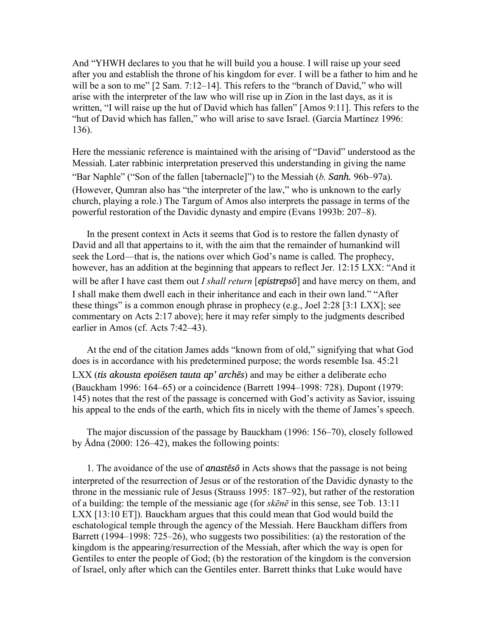And "YHWH declares to you that he will build you a house. I will raise up your seed after you and establish the throne of his kingdom for ever. I will be a father to him and he will be a son to me" [2 Sam. 7:12–14]. This refers to the "branch of David," who will arise with the interpreter of the law who will rise up in Zion in the last days, as it is written, "I will raise up the hut of David which has fallen" [Amos 9:11]. This refers to the "hut of David which has fallen," who will arise to save Israel. (García Martínez 1996: 136).

Here the messianic reference is maintained with the arising of "David" understood as the Messiah. Later rabbinic interpretation preserved this understanding in giving the name "Bar Naphle" ("Son of the fallen [tabernacle]") to the Messiah (*b. Sanh.* 96b–97a). (However, Qumran also has "the interpreter of the law," who is unknown to the early church, playing a role.) The Targum of Amos also interprets the passage in terms of the powerful restoration of the Davidic dynasty and empire (Evans 1993b: 207–8).

In the present context in Acts it seems that God is to restore the fallen dynasty of David and all that appertains to it, with the aim that the remainder of humankind will seek the Lord—that is, the nations over which God's name is called. The prophecy, however, has an addition at the beginning that appears to reflect Jer. 12:15 LXX: "And it will be after I have cast them out *I shall return* [*epistrepsō*] and have mercy on them, and I shall make them dwell each in their inheritance and each in their own land." "After these things" is a common enough phrase in prophecy (e.g., Joel 2:28 [3:1 LXX]; see commentary on Acts 2:17 above); here it may refer simply to the judgments described earlier in Amos (cf. Acts 7:42–43).

At the end of the citation James adds "known from of old," signifying that what God does is in accordance with his predetermined purpose; the words resemble Isa. 45:21 LXX (*tis akousta epoiēsen tauta ap' archēs*) and may be either a deliberate echo (Bauckham 1996: 164–65) or a coincidence (Barrett 1994–1998: 728). Dupont (1979: 145) notes that the rest of the passage is concerned with God's activity as Savior, issuing his appeal to the ends of the earth, which fits in nicely with the theme of James's speech.

The major discussion of the passage by Bauckham (1996: 156–70), closely followed by Ådna (2000: 126–42), makes the following points:

1. The avoidance of the use of *anastēsō* in Acts shows that the passage is not being interpreted of the resurrection of Jesus or of the restoration of the Davidic dynasty to the throne in the messianic rule of Jesus (Strauss 1995: 187–92), but rather of the restoration of a building: the temple of the messianic age (for *skēnē* in this sense, see Tob. 13:11 LXX [13:10 ET]). Bauckham argues that this could mean that God would build the eschatological temple through the agency of the Messiah. Here Bauckham differs from Barrett (1994–1998: 725–26), who suggests two possibilities: (a) the restoration of the kingdom is the appearing/resurrection of the Messiah, after which the way is open for Gentiles to enter the people of God; (b) the restoration of the kingdom is the conversion of Israel, only after which can the Gentiles enter. Barrett thinks that Luke would have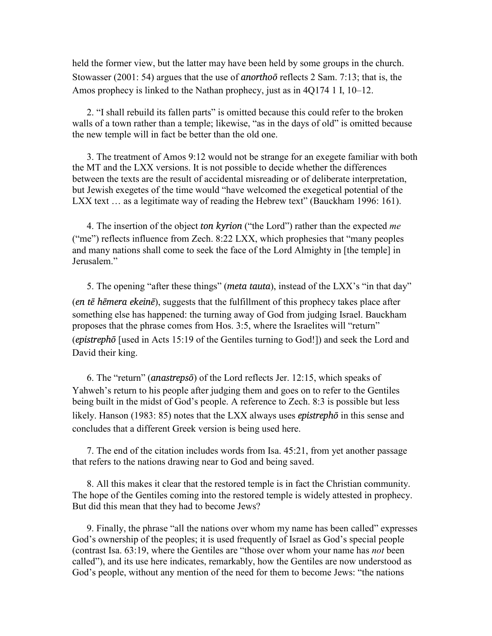held the former view, but the latter may have been held by some groups in the church. Stowasser (2001: 54) argues that the use of *anorthoō* reflects 2 Sam. 7:13; that is, the Amos prophecy is linked to the Nathan prophecy, just as in 4Q174 1 I, 10–12.

2. "I shall rebuild its fallen parts" is omitted because this could refer to the broken walls of a town rather than a temple; likewise, "as in the days of old" is omitted because the new temple will in fact be better than the old one.

3. The treatment of Amos 9:12 would not be strange for an exegete familiar with both the MT and the LXX versions. It is not possible to decide whether the differences between the texts are the result of accidental misreading or of deliberate interpretation, but Jewish exegetes of the time would "have welcomed the exegetical potential of the LXX text ... as a legitimate way of reading the Hebrew text" (Bauckham 1996: 161).

4. The insertion of the object *ton kyrion* ("the Lord") rather than the expected *me* ("me") reflects influence from Zech. 8:22 LXX, which prophesies that "many peoples and many nations shall come to seek the face of the Lord Almighty in [the temple] in Jerusalem."

5. The opening "after these things" (*meta tauta*), instead of the LXX's "in that day" (*en tē hēmera ekeinē*), suggests that the fulfillment of this prophecy takes place after something else has happened: the turning away of God from judging Israel. Bauckham proposes that the phrase comes from Hos. 3:5, where the Israelites will "return" (*epistrephō* [used in Acts 15:19 of the Gentiles turning to God!]) and seek the Lord and David their king.

6. The "return" (*anastrepsō*) of the Lord reflects Jer. 12:15, which speaks of Yahweh's return to his people after judging them and goes on to refer to the Gentiles being built in the midst of God's people. A reference to Zech. 8:3 is possible but less likely. Hanson (1983: 85) notes that the LXX always uses *epistrephō* in this sense and concludes that a different Greek version is being used here.

7. The end of the citation includes words from Isa. 45:21, from yet another passage that refers to the nations drawing near to God and being saved.

8. All this makes it clear that the restored temple is in fact the Christian community. The hope of the Gentiles coming into the restored temple is widely attested in prophecy. But did this mean that they had to become Jews?

9. Finally, the phrase "all the nations over whom my name has been called" expresses God's ownership of the peoples; it is used frequently of Israel as God's special people (contrast Isa. 63:19, where the Gentiles are "those over whom your name has *not* been called"), and its use here indicates, remarkably, how the Gentiles are now understood as God's people, without any mention of the need for them to become Jews: "the nations